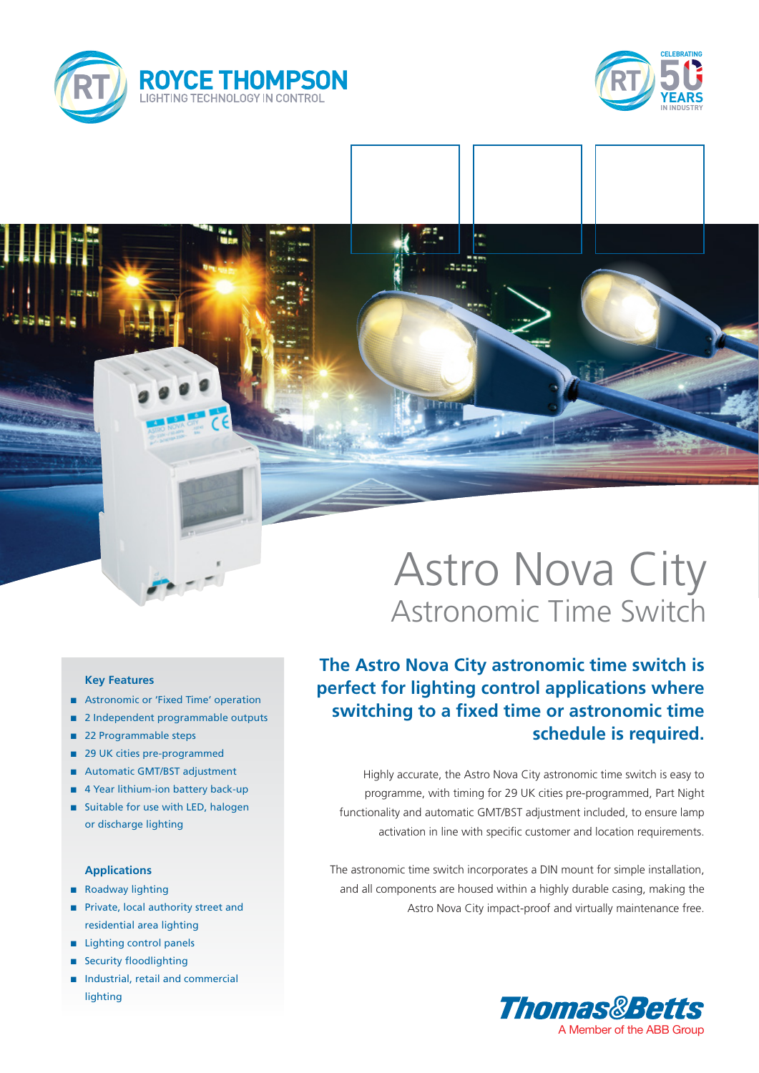



#### **Key Features**

- Astronomic or 'Fixed Time' operation
- 2 Independent programmable outputs
- 22 Programmable steps
- 29 UK cities pre-programmed
- Automatic GMT/BST adjustment
- $\blacksquare$  4 Year lithium-ion battery back-up
- $\blacksquare$  Suitable for use with LED, halogen or discharge lighting

### **Applications**

- Roadway lighting
- n Private, local authority street and residential area lighting
- n Lighting control panels
- **n** Security floodlighting
- n Industrial, retail and commercial lighting

# Astro Nova City Astronomic Time Switch

## **The Astro Nova City astronomic time switch is perfect for lighting control applications where switching to a fixed time or astronomic time schedule is required.**

Highly accurate, the Astro Nova City astronomic time switch is easy to programme, with timing for 29 UK cities pre-programmed, Part Night functionality and automatic GMT/BST adjustment included, to ensure lamp activation in line with specific customer and location requirements.

The astronomic time switch incorporates a DIN mount for simple installation, and all components are housed within a highly durable casing, making the Astro Nova City impact-proof and virtually maintenance free.